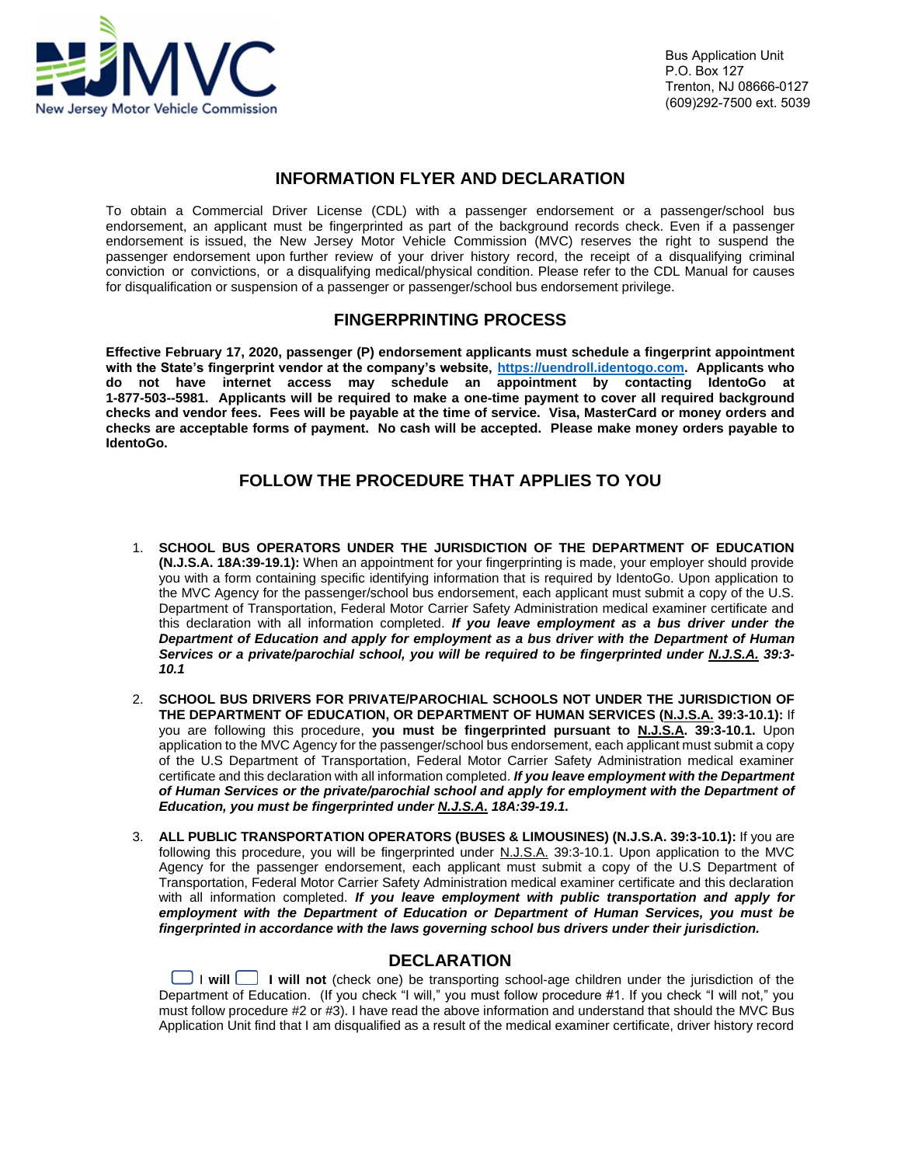

## **INFORMATION FLYER AND DECLARATION**

To obtain a Commercial Driver License (CDL) with a passenger endorsement or a passenger/school bus endorsement, an applicant must be fingerprinted as part of the background records check. Even if a passenger endorsement is issued, the New Jersey Motor Vehicle Commission (MVC) reserves the right to suspend the passenger endorsement upon further review of your driver history record, the receipt of a disqualifying criminal conviction or convictions, or a disqualifying medical/physical condition. Please refer to the CDL Manual for causes for disqualification or suspension of a passenger or passenger/school bus endorsement privilege.

## **FINGERPRINTING PROCESS**

**Effective February 17, 2020, passenger (P) endorsement applicants must schedule a fingerprint appointment with the State's fingerprint vendor at the company's website, [https://uendroll.identogo.com.](https://uendroll.identogo.com/) Applicants who do not have internet access may schedule an appointment by contacting IdentoGo at 1-877-503--5981. Applicants will be required to make a one-time payment to cover all required background checks and vendor fees. Fees will be payable at the time of service. Visa, MasterCard or money orders and checks are acceptable forms of payment. No cash will be accepted. Please make money orders payable to IdentoGo.** 

## **FOLLOW THE PROCEDURE THAT APPLIES TO YOU**

- 1. **SCHOOL BUS OPERATORS UNDER THE JURISDICTION OF THE DEPARTMENT OF EDUCATION (N.J.S.A. 18A:39-19.1):** When an appointment for your fingerprinting is made, your employer should provide you with a form containing specific identifying information that is required by IdentoGo. Upon application to the MVC Agency for the passenger/school bus endorsement, each applicant must submit a copy of the U.S. Department of Transportation, Federal Motor Carrier Safety Administration medical examiner certificate and this declaration with all information completed. *If you leave employment as a bus driver under the Department of Education and apply for employment as a bus driver with the Department of Human Services or a private/parochial school, you will be required to be fingerprinted under N.J.S.A. 39:3- 10.1*
- 2. **SCHOOL BUS DRIVERS FOR PRIVATE/PAROCHIAL SCHOOLS NOT UNDER THE JURISDICTION OF THE DEPARTMENT OF EDUCATION, OR DEPARTMENT OF HUMAN SERVICES (N.J.S.A. 39:3-10.1):** If you are following this procedure, **you must be fingerprinted pursuant to N.J.S.A. 39:3-10.1.** Upon application to the MVC Agency for the passenger/school bus endorsement, each applicant must submit a copy of the U.S Department of Transportation, Federal Motor Carrier Safety Administration medical examiner certificate and this declaration with all information completed. *If you leave employment with the Department of Human Services or the private/parochial school and apply for employment with the Department of Education, you must be fingerprinted under N.J.S.A. 18A:39-19.1.*
- 3. **ALL PUBLIC TRANSPORTATION OPERATORS (BUSES & LIMOUSINES) (N.J.S.A. 39:3-10.1):** If you are following this procedure, you will be fingerprinted under N.J.S.A. 39:3-10.1. Upon application to the MVC Agency for the passenger endorsement, each applicant must submit a copy of the U.S Department of Transportation, Federal Motor Carrier Safety Administration medical examiner certificate and this declaration with all information completed. *If you leave employment with public transportation and apply for employment with the Department of Education or Department of Human Services, you must be fingerprinted in accordance with the laws governing school bus drivers under their jurisdiction.*

## **DECLARATION**

 I **will I will not** (check one) be transporting school-age children under the jurisdiction of the Department of Education. (If you check "I will," you must follow procedure #1. If you check "I will not," you must follow procedure #2 or #3). I have read the above information and understand that should the MVC Bus Application Unit find that I am disqualified as a result of the medical examiner certificate, driver history record